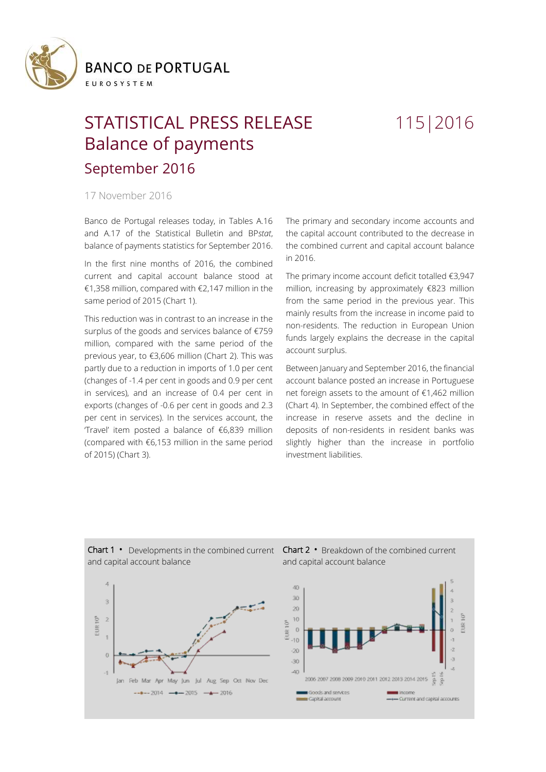

EUROSYSTEM

## STATISTICAL PRESS RELEASE 115|2016 Balance of payments September 2016

17 November 2016

Banco de Portugal releases today, in Tables A.16 and A.17 of the Statistical Bulletin and BP*stat*, balance of payments statistics for September 2016.

In the first nine months of 2016, the combined current and capital account balance stood at €1,358 million, compared with €2,147 million in the same period of 2015 (Chart 1).

This reduction was in contrast to an increase in the surplus of the goods and services balance of €759 million, compared with the same period of the previous year, to €3,606 million (Chart 2). This was partly due to a reduction in imports of 1.0 per cent (changes of -1.4 per cent in goods and 0.9 per cent in services), and an increase of 0.4 per cent in exports (changes of -0.6 per cent in goods and 2.3 per cent in services). In the services account, the 'Travel' item posted a balance of €6,839 million (compared with €6,153 million in the same period of 2015) (Chart 3).

The primary and secondary income accounts and the capital account contributed to the decrease in the combined current and capital account balance in 2016.

The primary income account deficit totalled €3,947 million, increasing by approximately €823 million from the same period in the previous year. This mainly results from the increase in income paid to non-residents. The reduction in European Union funds largely explains the decrease in the capital account surplus.

Between January and September 2016, the financial account balance posted an increase in Portuguese net foreign assets to the amount of €1,462 million (Chart 4). In September, the combined effect of the increase in reserve assets and the decline in deposits of non-residents in resident banks was slightly higher than the increase in portfolio investment liabilities.



## Chart 1 **•** Developments in the combined current Chart 2 **•** Breakdown of the combined current and capital account balance

## and capital account balance